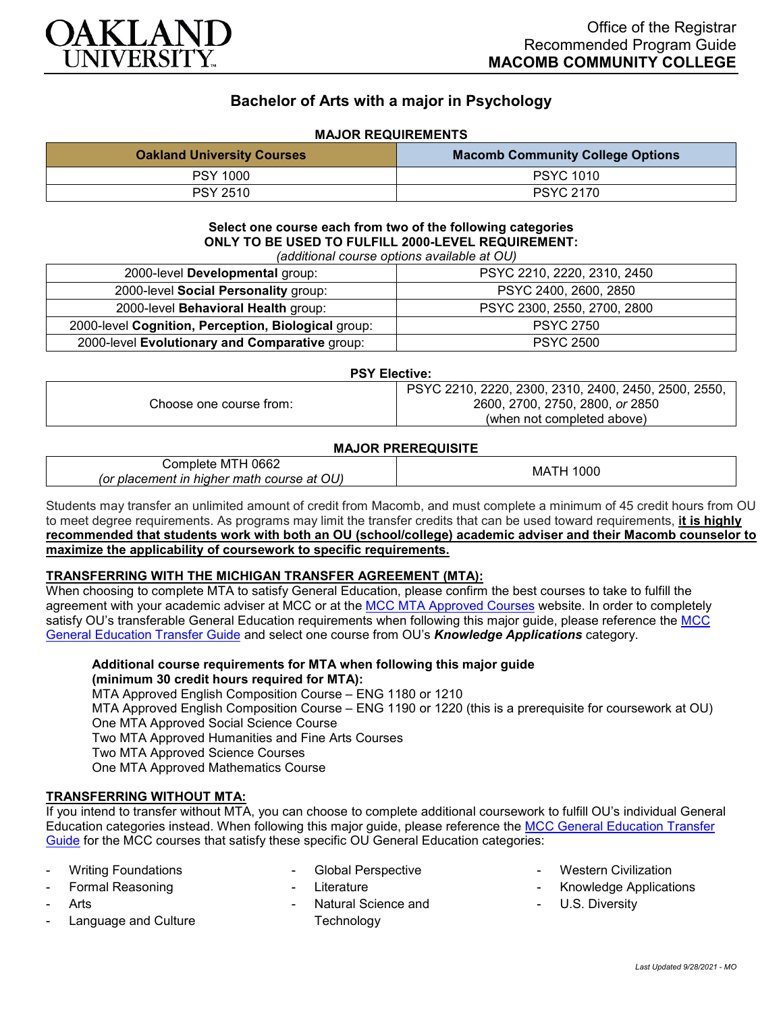

# **Bachelor of Arts with a major in Psychology**

## **MAJOR REQUIREMENTS**

| <b>Oakland University Courses</b> | <b>Macomb Community College Options</b> |
|-----------------------------------|-----------------------------------------|
| <b>PSY 1000</b>                   | <b>PSYC 1010</b>                        |
| <b>PSY 2510</b>                   | <b>PSYC 2170</b>                        |

**Select one course each from two of the following categories ONLY TO BE USED TO FULFILL 2000-LEVEL REQUIREMENT:** *(additional course options available at OU)*

| 2000-level Developmental group:                     | PSYC 2210, 2220, 2310, 2450 |
|-----------------------------------------------------|-----------------------------|
| 2000-level Social Personality group:                | PSYC 2400, 2600, 2850       |
| 2000-level Behavioral Health group:                 | PSYC 2300, 2550, 2700, 2800 |
| 2000-level Cognition, Perception, Biological group: | <b>PSYC 2750</b>            |
| 2000-level Evolutionary and Comparative group:      | <b>PSYC 2500</b>            |

#### **PSY Elective:**

| 2600, 2700, 2750, 2800, or 2850<br>Choose one course from: | PSYC 2210, 2220, 2300, 2310, 2400, 2450, 2500, 2550, |
|------------------------------------------------------------|------------------------------------------------------|
|                                                            |                                                      |
|                                                            | (when not completed above)                           |

#### **MAJOR PREREQUISITE**

| 0662<br>omr<br>. M i $\vdash$<br>nbiete                               | 'OOC    |
|-----------------------------------------------------------------------|---------|
| OU<br>hiaher<br>course<br>at<br>(Or<br>matı<br>' biacl<br>ın<br>ement | МA<br>. |

Students may transfer an unlimited amount of credit from Macomb, and must complete a minimum of 45 credit hours from OU to meet degree requirements. As programs may limit the transfer credits that can be used toward requirements, **it is highly recommended that students work with both an OU (school/college) academic adviser and their Macomb counselor to maximize the applicability of coursework to specific requirements.**

### **TRANSFERRING WITH THE MICHIGAN TRANSFER AGREEMENT (MTA):**

When choosing to complete MTA to satisfy General Education, please confirm the best courses to take to fulfill the agreement with your academic adviser at MCC or at the [MCC MTA Approved Courses](http://www.macomb.edu/resources/transfer-articulation/attachments/mta-macrao-course-list.pdf) website. In order to completely satisfy OU's transferable General Education requirements when following this major guide, please reference the MCC [General Education Transfer Guide](https://wwwp.oakland.edu/Assets/Oakland/program-guides/macomb-community-college/university-general-education-requirements/MCC%20Gen%20Ed.pdf) and select one course from OU's *Knowledge Applications* category.

**Additional course requirements for MTA when following this major guide (minimum 30 credit hours required for MTA):**

MTA Approved English Composition Course – ENG 1180 or 1210

MTA Approved English Composition Course – ENG 1190 or 1220 (this is a prerequisite for coursework at OU) One MTA Approved Social Science Course

Two MTA Approved Humanities and Fine Arts Courses

Two MTA Approved Science Courses

One MTA Approved Mathematics Course

## **TRANSFERRING WITHOUT MTA:**

If you intend to transfer without MTA, you can choose to complete additional coursework to fulfill OU's individual General Education categories instead. When following this major guide, please reference the [MCC General Education Transfer](https://wwwp.oakland.edu/Assets/Oakland/program-guides/macomb-community-college/university-general-education-requirements/MCC%20Gen%20Ed.pdf)  [Guide](https://wwwp.oakland.edu/Assets/Oakland/program-guides/macomb-community-college/university-general-education-requirements/MCC%20Gen%20Ed.pdf) for the MCC courses that satisfy these specific OU General Education categories:

- **Writing Foundations**
- Formal Reasoning
- **Arts**
- Language and Culture
- Global Perspective
- **Literature**
- Natural Science and **Technology**
- **Western Civilization**
- Knowledge Applications
- U.S. Diversity